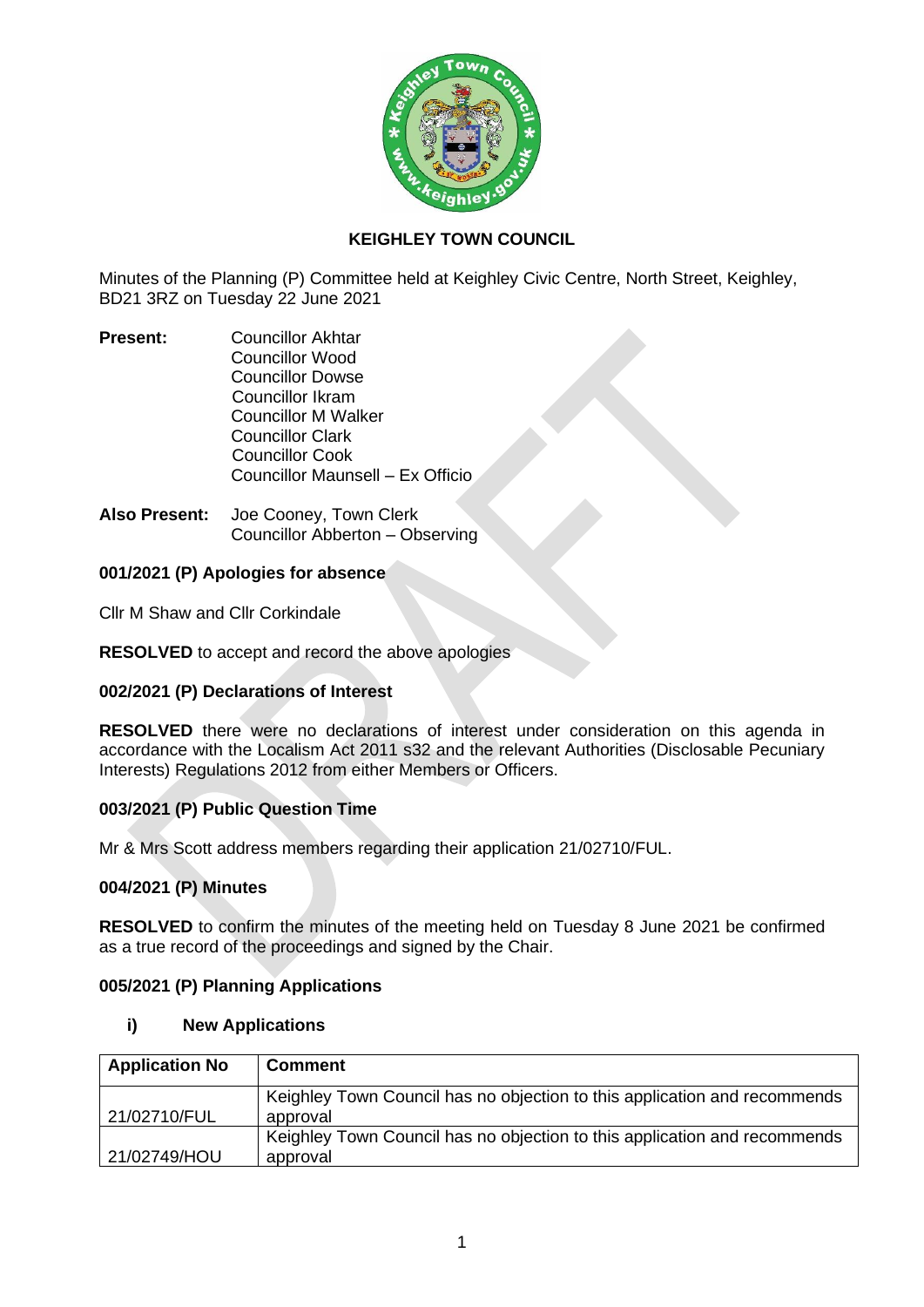

### **KEIGHLEY TOWN COUNCIL**

Minutes of the Planning (P) Committee held at Keighley Civic Centre, North Street, Keighley, BD21 3RZ on Tuesday 22 June 2021

- **Present:** Councillor Akhtar Councillor Wood Councillor Dowse Councillor Ikram Councillor M Walker Councillor Clark Councillor Cook Councillor Maunsell – Ex Officio
- **Also Present:** Joe Cooney, Town Clerk Councillor Abberton – Observing

### **001/2021 (P) Apologies for absence**

Cllr M Shaw and Cllr Corkindale

**RESOLVED** to accept and record the above apologies

### **002/2021 (P) Declarations of Interest**

**RESOLVED** there were no declarations of interest under consideration on this agenda in accordance with the Localism Act 2011 s32 and the relevant Authorities (Disclosable Pecuniary Interests) Regulations 2012 from either Members or Officers.

### **003/2021 (P) Public Question Time**

Mr & Mrs Scott address members regarding their application 21/02710/FUL.

### **004/2021 (P) Minutes**

**RESOLVED** to confirm the minutes of the meeting held on Tuesday 8 June 2021 be confirmed as a true record of the proceedings and signed by the Chair.

### **005/2021 (P) Planning Applications**

### **i) New Applications**

| <b>Application No</b> | <b>Comment</b>                                                            |
|-----------------------|---------------------------------------------------------------------------|
|                       | Keighley Town Council has no objection to this application and recommends |
| 21/02710/FUL          | approval                                                                  |
|                       | Keighley Town Council has no objection to this application and recommends |
| 21/02749/HOU          | approval                                                                  |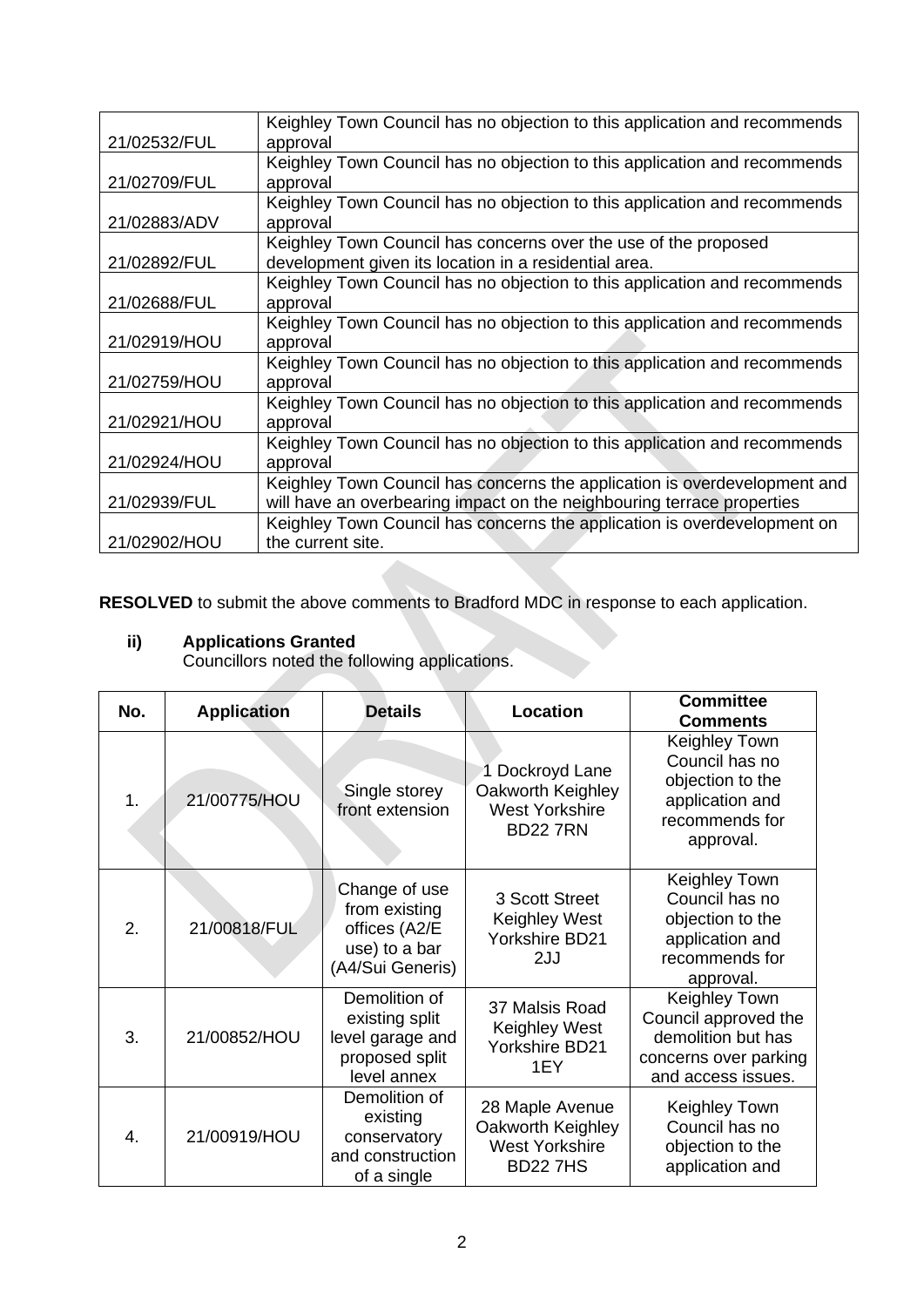|              | Keighley Town Council has no objection to this application and recommends |
|--------------|---------------------------------------------------------------------------|
| 21/02532/FUL | approval                                                                  |
|              | Keighley Town Council has no objection to this application and recommends |
| 21/02709/FUL | approval                                                                  |
|              | Keighley Town Council has no objection to this application and recommends |
| 21/02883/ADV | approval                                                                  |
|              | Keighley Town Council has concerns over the use of the proposed           |
| 21/02892/FUL | development given its location in a residential area.                     |
|              | Keighley Town Council has no objection to this application and recommends |
| 21/02688/FUL | approval                                                                  |
|              | Keighley Town Council has no objection to this application and recommends |
| 21/02919/HOU | approval                                                                  |
|              | Keighley Town Council has no objection to this application and recommends |
| 21/02759/HOU | approval                                                                  |
|              | Keighley Town Council has no objection to this application and recommends |
| 21/02921/HOU | approval                                                                  |
|              | Keighley Town Council has no objection to this application and recommends |
| 21/02924/HOU | approval                                                                  |
|              | Keighley Town Council has concerns the application is overdevelopment and |
| 21/02939/FUL | will have an overbearing impact on the neighbouring terrace properties    |
|              | Keighley Town Council has concerns the application is overdevelopment on  |
| 21/02902/HOU | the current site.                                                         |

**RESOLVED** to submit the above comments to Bradford MDC in response to each application.

### **ii) Applications Granted**

Councillors noted the following applications.

| No. | <b>Application</b> | <b>Details</b>                                                                       | Location                                                                        | <b>Committee</b><br><b>Comments</b>                                                                          |
|-----|--------------------|--------------------------------------------------------------------------------------|---------------------------------------------------------------------------------|--------------------------------------------------------------------------------------------------------------|
| 1.  | 21/00775/HOU       | Single storey<br>front extension                                                     | 1 Dockroyd Lane<br>Oakworth Keighley<br><b>West Yorkshire</b><br><b>BD227RN</b> | <b>Keighley Town</b><br>Council has no<br>objection to the<br>application and<br>recommends for<br>approval. |
| 2.  | 21/00818/FUL       | Change of use<br>from existing<br>offices (A2/E<br>use) to a bar<br>(A4/Sui Generis) | 3 Scott Street<br>Keighley West<br>Yorkshire BD21<br>2JJ                        | Keighley Town<br>Council has no<br>objection to the<br>application and<br>recommends for<br>approval.        |
| 3.  | 21/00852/HOU       | Demolition of<br>existing split<br>level garage and<br>proposed split<br>level annex | 37 Malsis Road<br>Keighley West<br>Yorkshire BD21<br>1EY                        | Keighley Town<br>Council approved the<br>demolition but has<br>concerns over parking<br>and access issues.   |
| 4.  | 21/00919/HOU       | Demolition of<br>existing<br>conservatory<br>and construction<br>of a single         | 28 Maple Avenue<br>Oakworth Keighley<br><b>West Yorkshire</b><br><b>BD227HS</b> | Keighley Town<br>Council has no<br>objection to the<br>application and                                       |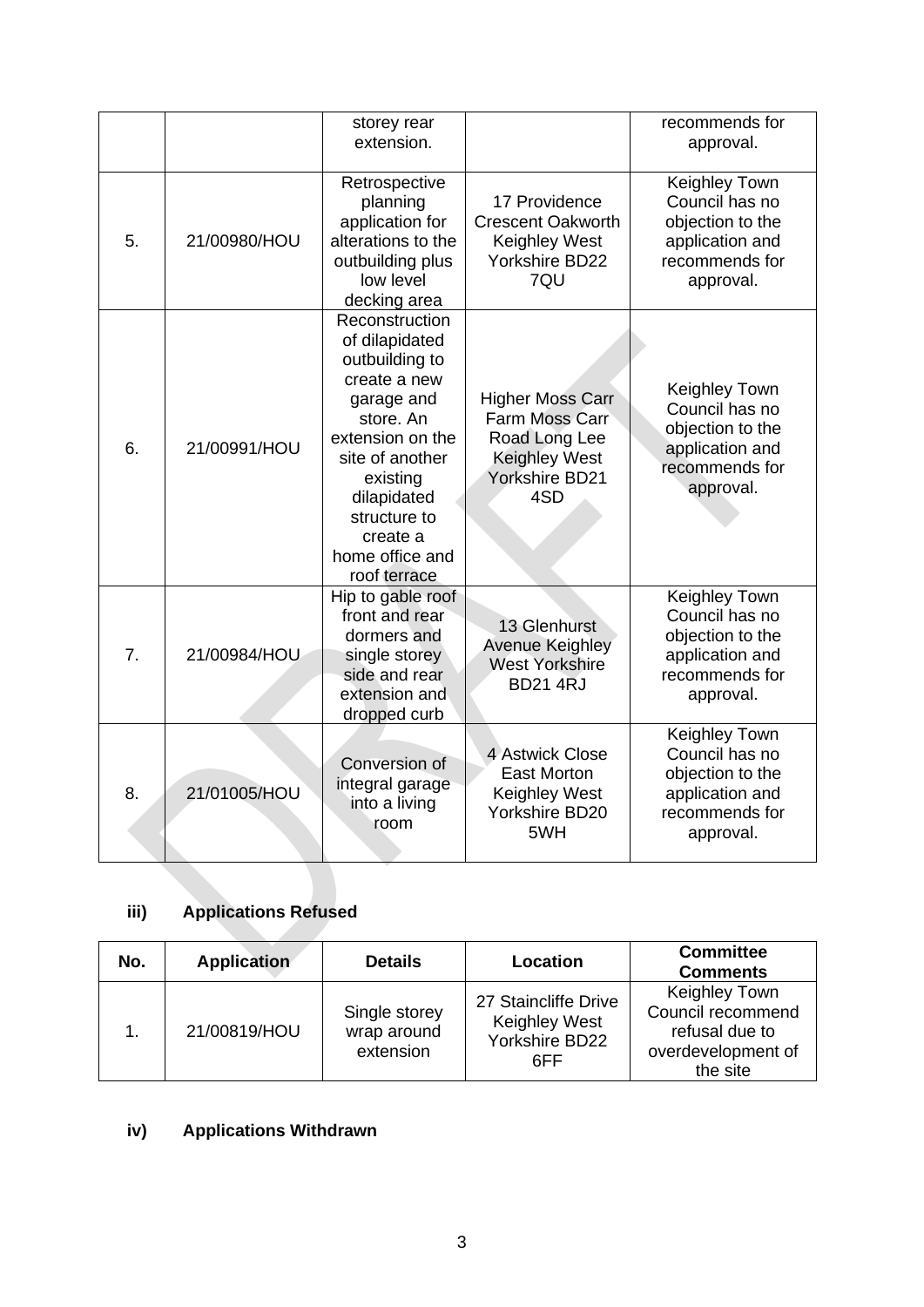|    |              | storey rear<br>extension.                                                                                                                                                                                                      |                                                                                                             | recommends for<br>approval.                                                                                  |
|----|--------------|--------------------------------------------------------------------------------------------------------------------------------------------------------------------------------------------------------------------------------|-------------------------------------------------------------------------------------------------------------|--------------------------------------------------------------------------------------------------------------|
| 5. | 21/00980/HOU | Retrospective<br>planning<br>application for<br>alterations to the<br>outbuilding plus<br>low level<br>decking area                                                                                                            | 17 Providence<br><b>Crescent Oakworth</b><br><b>Keighley West</b><br><b>Yorkshire BD22</b><br>7QU           | <b>Keighley Town</b><br>Council has no<br>objection to the<br>application and<br>recommends for<br>approval. |
| 6. | 21/00991/HOU | Reconstruction<br>of dilapidated<br>outbuilding to<br>create a new<br>garage and<br>store. An<br>extension on the<br>site of another<br>existing<br>dilapidated<br>structure to<br>create a<br>home office and<br>roof terrace | <b>Higher Moss Carr</b><br>Farm Moss Carr<br>Road Long Lee<br><b>Keighley West</b><br>Yorkshire BD21<br>4SD | Keighley Town<br>Council has no<br>objection to the<br>application and<br>recommends for<br>approval.        |
| 7. | 21/00984/HOU | Hip to gable roof<br>front and rear<br>dormers and<br>single storey<br>side and rear<br>extension and<br>dropped curb                                                                                                          | 13 Glenhurst<br><b>Avenue Keighley</b><br><b>West Yorkshire</b><br><b>BD214RJ</b>                           | Keighley Town<br>Council has no<br>objection to the<br>application and<br>recommends for<br>approval.        |
| 8. | 21/01005/HOU | Conversion of<br>integral garage<br>into a living<br>room                                                                                                                                                                      | 4 Astwick Close<br><b>East Morton</b><br><b>Keighley West</b><br>Yorkshire BD20<br>5WH                      | Keighley Town<br>Council has no<br>objection to the<br>application and<br>recommends for<br>approval.        |

## **iii) Applications Refused**

| No. | <b>Application</b> | <b>Details</b>                            | Location                                                              | <b>Committee</b><br><b>Comments</b>                                                    |
|-----|--------------------|-------------------------------------------|-----------------------------------------------------------------------|----------------------------------------------------------------------------------------|
|     | 21/00819/HOU       | Single storey<br>wrap around<br>extension | 27 Staincliffe Drive<br><b>Keighley West</b><br>Yorkshire BD22<br>6FF | Keighley Town<br>Council recommend<br>refusal due to<br>overdevelopment of<br>the site |

# **iv) Applications Withdrawn**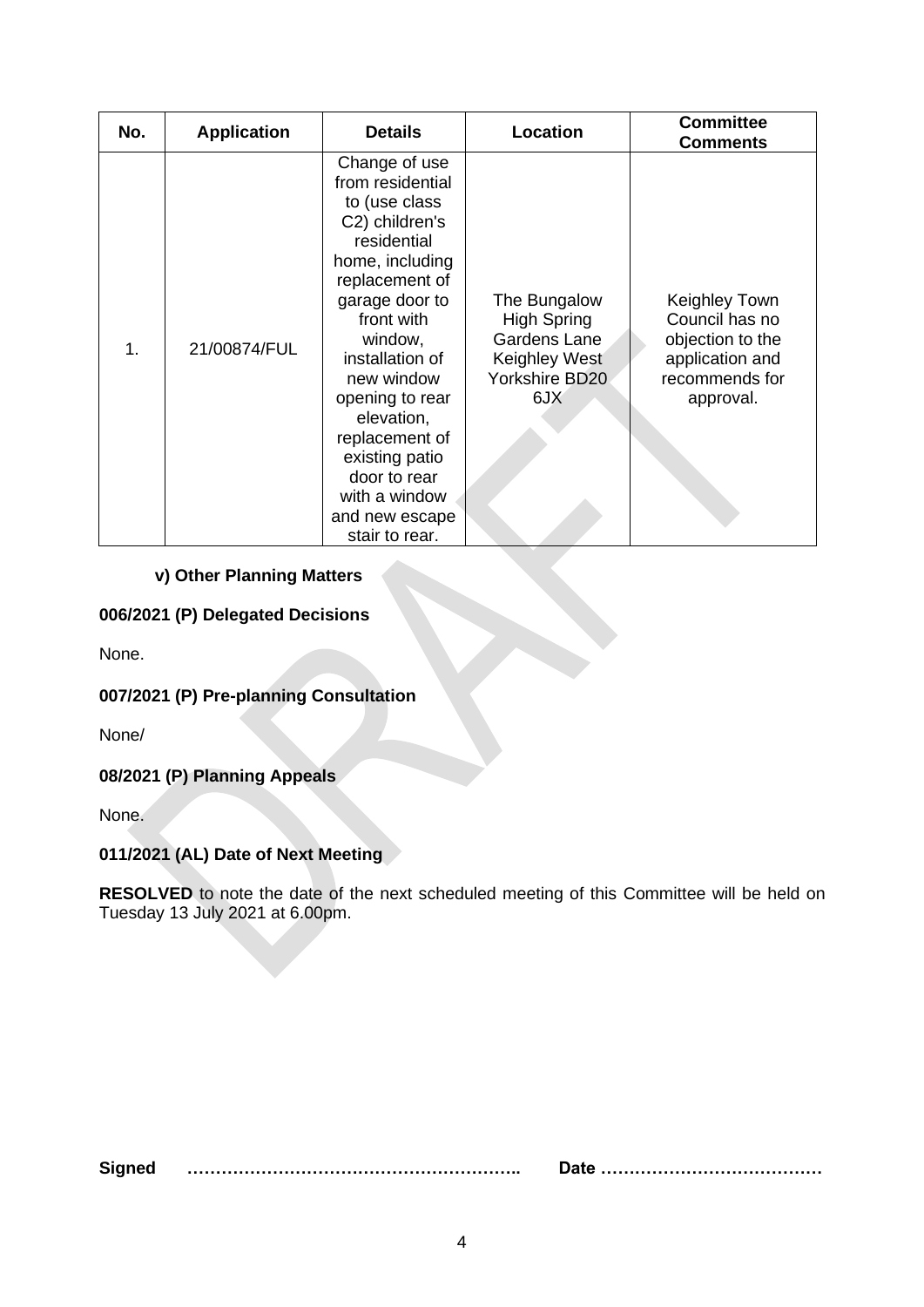| No. | <b>Application</b> | <b>Details</b>                                                                                                                                                                                                                                                                                                                                 | Location                                                                                     | <b>Committee</b><br><b>Comments</b>                                                                   |
|-----|--------------------|------------------------------------------------------------------------------------------------------------------------------------------------------------------------------------------------------------------------------------------------------------------------------------------------------------------------------------------------|----------------------------------------------------------------------------------------------|-------------------------------------------------------------------------------------------------------|
| 1.  | 21/00874/FUL       | Change of use<br>from residential<br>to (use class<br>C2) children's<br>residential<br>home, including<br>replacement of<br>garage door to<br>front with<br>window,<br>installation of<br>new window<br>opening to rear<br>elevation,<br>replacement of<br>existing patio<br>door to rear<br>with a window<br>and new escape<br>stair to rear. | The Bungalow<br><b>High Spring</b><br>Gardens Lane<br>Keighley West<br>Yorkshire BD20<br>6JX | Keighley Town<br>Council has no<br>objection to the<br>application and<br>recommends for<br>approval. |

### **v) Other Planning Matters**

### **006/2021 (P) Delegated Decisions**

None.

## **007/2021 (P) Pre-planning Consultation**

None/

## **08/2021 (P) Planning Appeals**

None.

## **011/2021 (AL) Date of Next Meeting**

**RESOLVED** to note the date of the next scheduled meeting of this Committee will be held on Tuesday 13 July 2021 at 6.00pm.

**Signed ………………………………………………….. Date …………………………………**